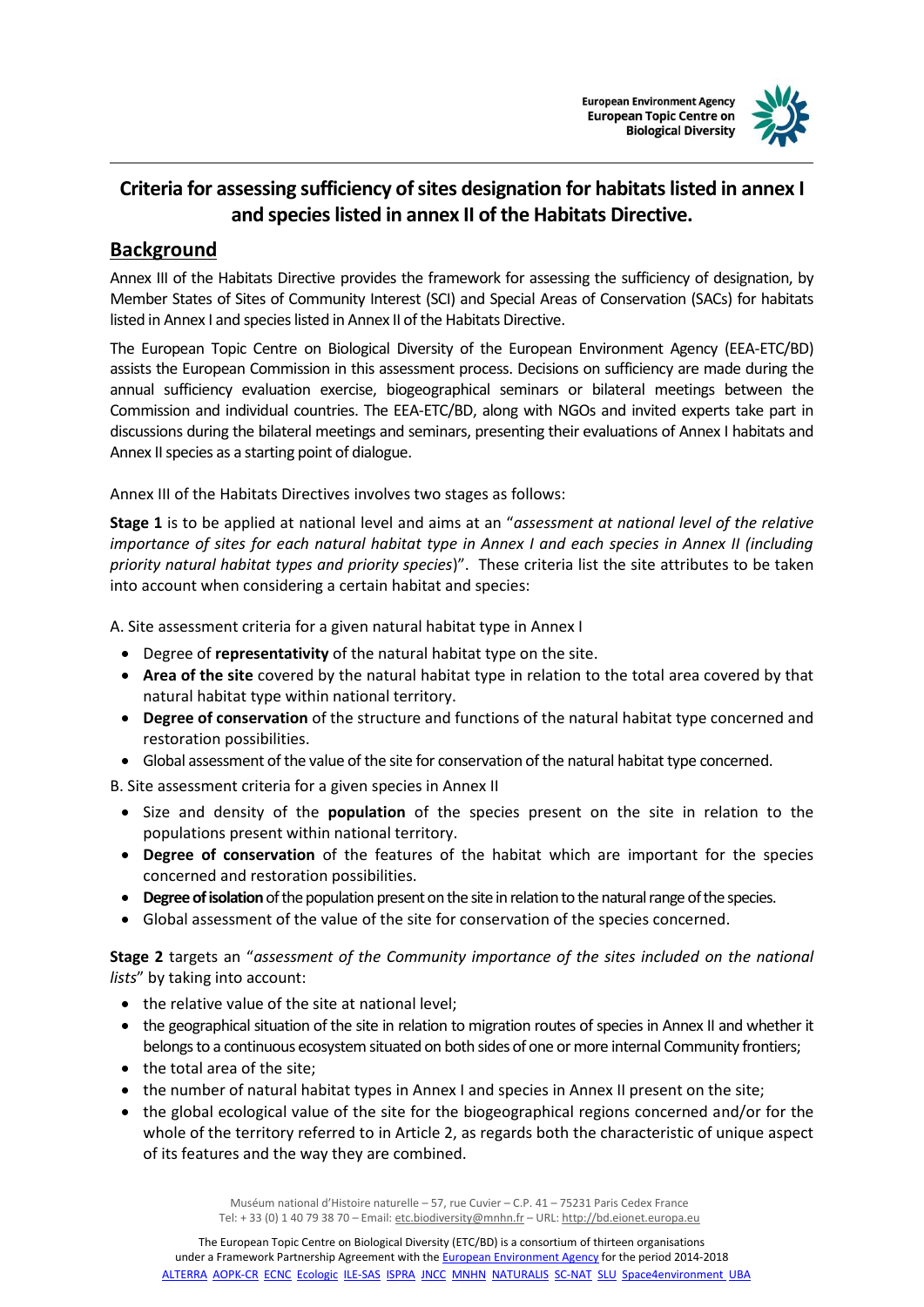



## **Criteria for assessing sufficiency of sites designation for habitats listed in annex I and species listed in annex II of the Habitats Directive.**

## **Background**

Annex III of the Habitats Directive provides the framework for assessing the sufficiency of designation, by Member States of Sites of Community Interest (SCI) and Special Areas of Conservation (SACs) for habitats listed in Annex I and species listed in Annex II of the Habitats Directive.

The European Topic Centre on Biological Diversity of the European Environment Agency (EEA-ETC/BD) assists the European Commission in this assessment process. Decisions on sufficiency are made during the annual sufficiency evaluation exercise, biogeographical seminars or bilateral meetings between the Commission and individual countries. The EEA-ETC/BD, along with NGOs and invited experts take part in discussions during the bilateral meetings and seminars, presenting their evaluations of Annex I habitats and Annex II species as a starting point of dialogue.

Annex III of the Habitats Directives involves two stages as follows:

**Stage 1** is to be applied at national level and aims at an "*assessment at national level of the relative importance of sites for each natural habitat type in Annex I and each species in Annex II (including priority natural habitat types and priority species*)". These criteria list the site attributes to be taken into account when considering a certain habitat and species:

A. Site assessment criteria for a given natural habitat type in Annex I

- Degree of **representativity** of the natural habitat type on the site.
- **Area of the site** covered by the natural habitat type in relation to the total area covered by that natural habitat type within national territory.
- **Degree of conservation** of the structure and functions of the natural habitat type concerned and restoration possibilities.
- Global assessment of the value of the site for conservation of the natural habitat type concerned.

B. Site assessment criteria for a given species in Annex II

- **Size and density of the population** of the species present on the site in relation to the populations present within national territory.
- **Degree of conservation** of the features of the habitat which are important for the species concerned and restoration possibilities.
- **Degree of isolation**of the population present on the site in relation to the natural range of the species.
- Global assessment of the value of the site for conservation of the species concerned.

**Stage 2** targets an "*assessment of the Community importance of the sites included on the national lists*" by taking into account:

- the relative value of the site at national level;
- the geographical situation of the site in relation to migration routes of species in Annex II and whether it belongs to a continuous ecosystem situated on both sides of one or more internal Community frontiers;
- the total area of the site;
- the number of natural habitat types in Annex I and species in Annex II present on the site;
- the global ecological value of the site for the biogeographical regions concerned and/or for the whole of the territory referred to in Article 2, as regards both the characteristic of unique aspect of its features and the way they are combined.

Muséum national d'Histoire naturelle – 57, rue Cuvier – C.P. 41 – 75231 Paris Cedex France Tel: + 33 (0) 1 40 79 38 70 - Email[: etc.biodiversity@mnhn.fr](mailto:etc.biodiversity@mnhn.fr) - URL[: http://bd.eionet.europa.eu](http://bd.eionet.europa.eu/)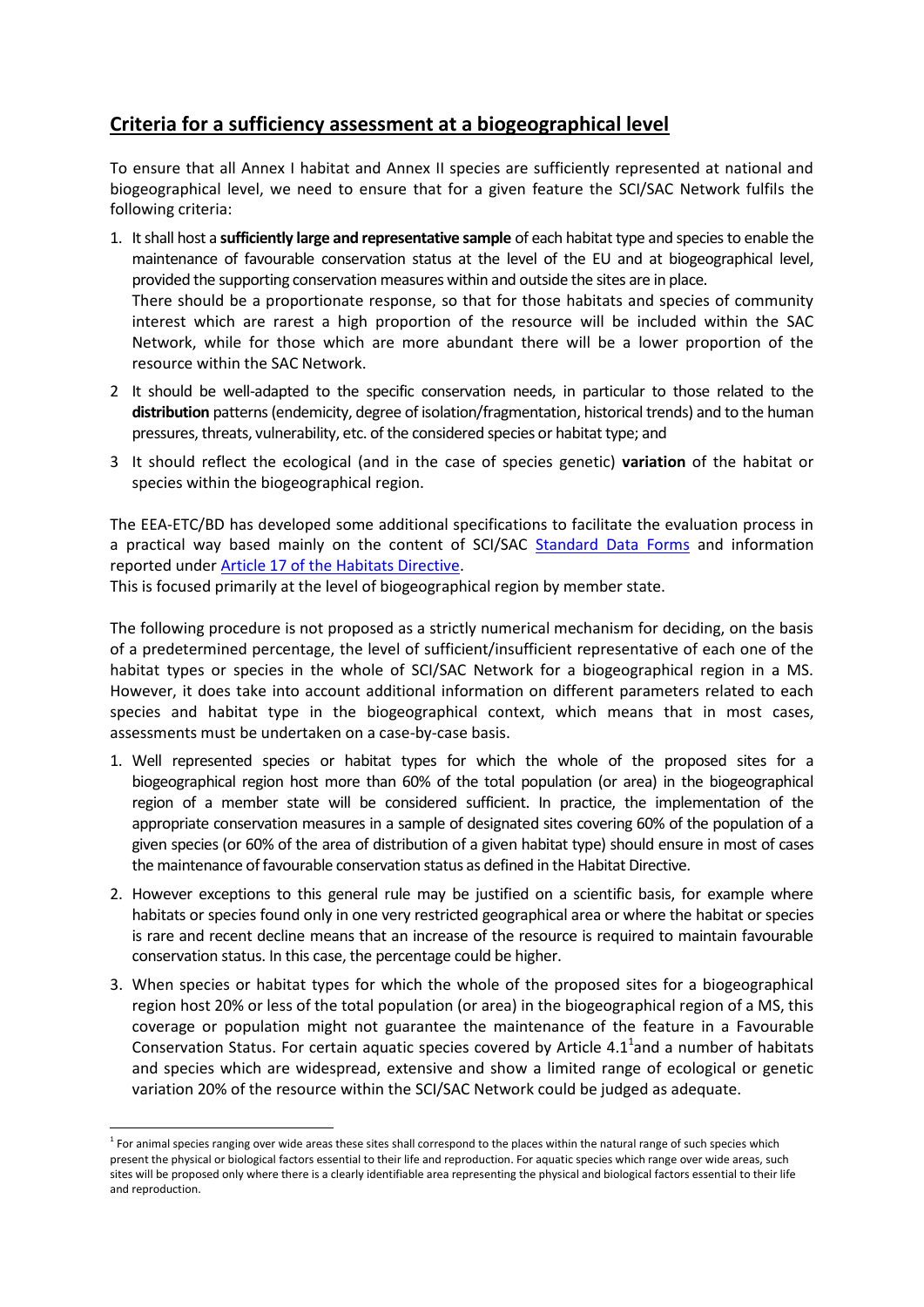## **Criteria for a sufficiency assessment at a biogeographical level**

To ensure that all Annex I habitat and Annex II species are sufficiently represented at national and biogeographical level, we need to ensure that for a given feature the SCI/SAC Network fulfils the following criteria:

- 1. It shall host a **sufficiently large and representative sample** of each habitat type and species to enable the maintenance of favourable conservation status at the level of the EU and at biogeographical level, provided the supporting conservation measures within and outside the sites are in place. There should be a proportionate response, so that for those habitats and species of community interest which are rarest a high proportion of the resource will be included within the SAC Network, while for those which are more abundant there will be a lower proportion of the resource within the SAC Network.
- 2 It should be well-adapted to the specific conservation needs, in particular to those related to the **distribution** patterns (endemicity, degree of isolation/fragmentation, historical trends) and to the human pressures, threats, vulnerability, etc. of the considered species or habitat type; and
- 3 It should reflect the ecological (and in the case of species genetic) **variation** of the habitat or species within the biogeographical region.

The EEA-ETC/BD has developed some additional specifications to facilitate the evaluation process in a practical way based mainly on the content of SCI/SAC [Standard Data Forms](http://eur-lex.europa.eu/legal-content/EN/TXT/PDF/?uri=CELEX:32011D0484&from=EN) and information reported under [Article 17 of the Habitats Directive.](http://bd.eionet.europa.eu/activities/Reporting/Article_17)

This is focused primarily at the level of biogeographical region by member state.

The following procedure is not proposed as a strictly numerical mechanism for deciding, on the basis of a predetermined percentage, the level of sufficient/insufficient representative of each one of the habitat types or species in the whole of SCI/SAC Network for a biogeographical region in a MS. However, it does take into account additional information on different parameters related to each species and habitat type in the biogeographical context, which means that in most cases, assessments must be undertaken on a case-by-case basis.

- 1. Well represented species or habitat types for which the whole of the proposed sites for a biogeographical region host more than 60% of the total population (or area) in the biogeographical region of a member state will be considered sufficient. In practice, the implementation of the appropriate conservation measures in a sample of designated sites covering 60% of the population of a given species (or 60% of the area of distribution of a given habitat type) should ensure in most of cases the maintenance of favourable conservation status as defined in the Habitat Directive.
- 2. However exceptions to this general rule may be justified on a scientific basis, for example where habitats or species found only in one very restricted geographical area or where the habitat or species is rare and recent decline means that an increase of the resource is required to maintain favourable conservation status. In this case, the percentage could be higher.
- 3. When species or habitat types for which the whole of the proposed sites for a biogeographical region host 20% or less of the total population (or area) in the biogeographical region of a MS, this coverage or population might not guarantee the maintenance of the feature in a Favourable Conservation Status. For certain aquatic species covered by Article  $4.1<sup>1</sup>$ and a number of habitats and species which are widespread, extensive and show a limited range of ecological or genetic variation 20% of the resource within the SCI/SAC Network could be judged as adequate.

 $\overline{a}$ <sup>1</sup> For animal species ranging over wide areas these sites shall correspond to the places within the natural range of such species which present the physical or biological factors essential to their life and reproduction. For aquatic species which range over wide areas, such sites will be proposed only where there is a clearly identifiable area representing the physical and biological factors essential to their life and reproduction.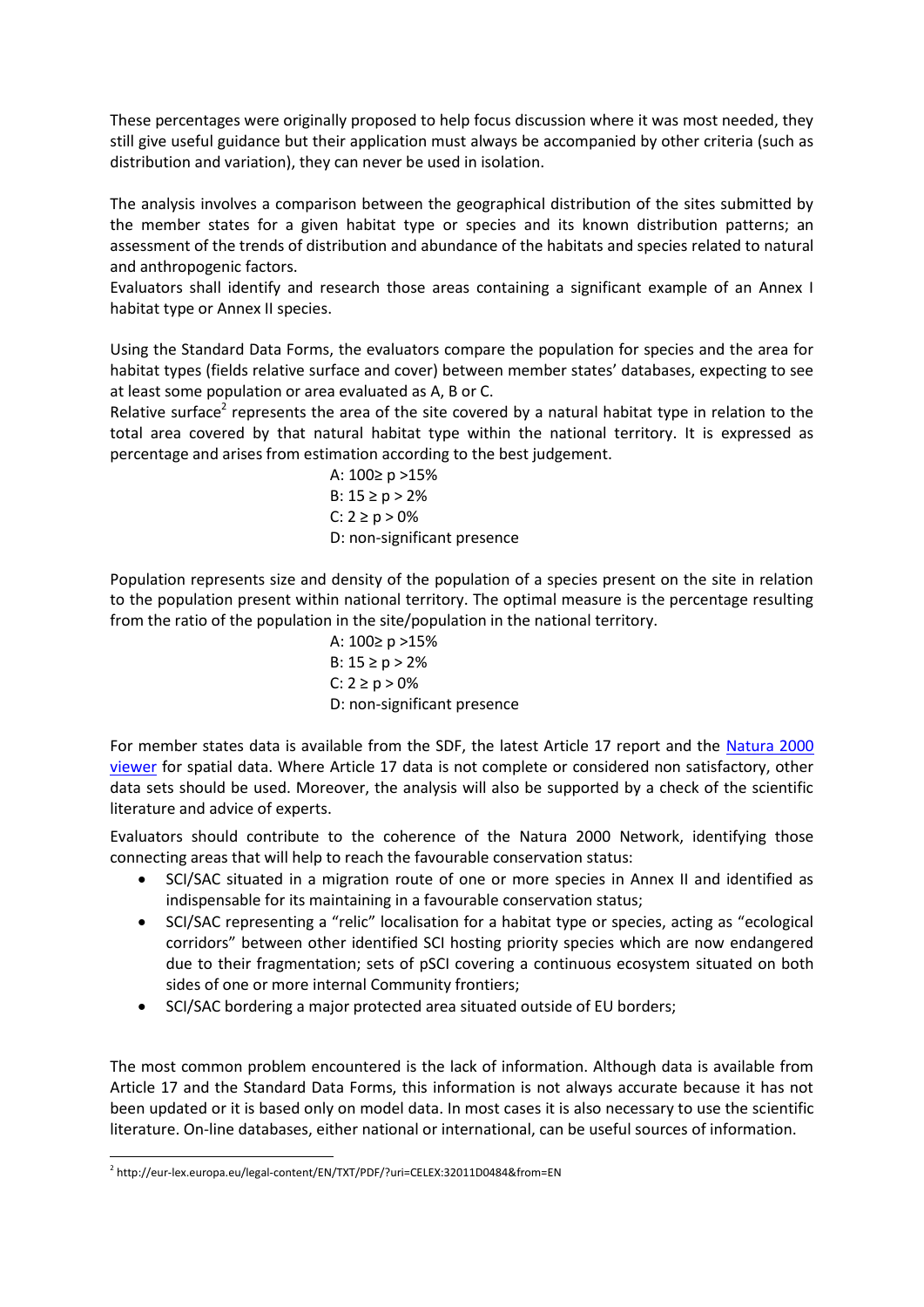These percentages were originally proposed to help focus discussion where it was most needed, they still give useful guidance but their application must always be accompanied by other criteria (such as distribution and variation), they can never be used in isolation.

The analysis involves a comparison between the geographical distribution of the sites submitted by the member states for a given habitat type or species and its known distribution patterns; an assessment of the trends of distribution and abundance of the habitats and species related to natural and anthropogenic factors.

Evaluators shall identify and research those areas containing a significant example of an Annex I habitat type or Annex II species.

Using the Standard Data Forms, the evaluators compare the population for species and the area for habitat types (fields relative surface and cover) between member states' databases, expecting to see at least some population or area evaluated as A, B or C.

Relative surface<sup>2</sup> represents the area of the site covered by a natural habitat type in relation to the total area covered by that natural habitat type within the national territory. It is expressed as percentage and arises from estimation according to the best judgement.

> A: 100≥ p >15% B:  $15 \ge p > 2\%$ C:  $2 \ge p > 0\%$ D: non-significant presence

Population represents size and density of the population of a species present on the site in relation to the population present within national territory. The optimal measure is the percentage resulting from the ratio of the population in the site/population in the national territory.

> A: 100≥ p >15% B:  $15 ≥ p > 2%$  $C: 2 \ge p > 0\%$ D: non-significant presence

For member states data is available from the SDF, the latest Article 17 report and the [Natura 2000](http://natura2000.eea.europa.eu/)  [viewer](http://natura2000.eea.europa.eu/) for spatial data. Where Article 17 data is not complete or considered non satisfactory, other data sets should be used. Moreover, the analysis will also be supported by a check of the scientific literature and advice of experts.

Evaluators should contribute to the coherence of the Natura 2000 Network, identifying those connecting areas that will help to reach the favourable conservation status:

- SCI/SAC situated in a migration route of one or more species in Annex II and identified as indispensable for its maintaining in a favourable conservation status;
- SCI/SAC representing a "relic" localisation for a habitat type or species, acting as "ecological corridors" between other identified SCI hosting priority species which are now endangered due to their fragmentation; sets of pSCI covering a continuous ecosystem situated on both sides of one or more internal Community frontiers;
- SCI/SAC bordering a major protected area situated outside of EU borders;

The most common problem encountered is the lack of information. Although data is available from Article 17 and the Standard Data Forms, this information is not always accurate because it has not been updated or it is based only on model data. In most cases it is also necessary to use the scientific literature. On-line databases, either national or international, can be useful sources of information.

 $\overline{a}$ 2 http://eur-lex.europa.eu/legal-content/EN/TXT/PDF/?uri=CELEX:32011D0484&from=EN